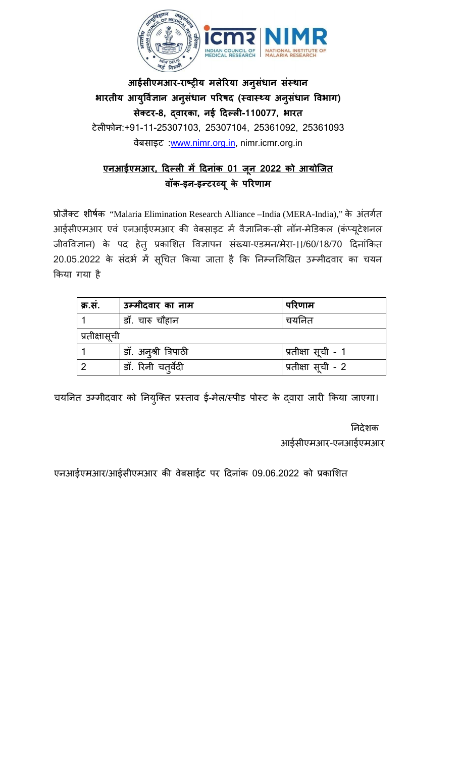

**आईसीएमआर-राष्ट्र य मलेरया अनुसंधान संस्** भारतीय आयुर्विज्ञान अनुसंधान परिषद (स्वास्थ्य अनुसंधान विभाग) **सेक्ट-8, द्वारक, नई �दल्ल-110077, भारत** टेल�फोन:+91-11-25307103, 25307104, 25361092, 25361093 वेबसाइट :[www.nimr.org.in,](http://www.nimr.org.in/) nimr.icmr.org.in

## **एनआईएमआर, �दल्ल म� �दनांक 01 जू न 2022 को आयोिजत वॉक-इन-इन्टरव्य केपरणाम**

प्रोजैक्ट शीर्षक "Malaria Elimination Research Alliance –India (MERA-India)," के अंतर्गत आईसीएमआर एवं एनआईएमआर की वेबसाइट में वैज्ञानिक-सी नॉन-मेंडिकल (कर्प्यूटें जीवविज्ञान) के पद हेतु प्रकाशित विज्ञापन संख्या-एडमन/मेरा-।।/60/18/70 दिनांकित 20.05.2022 के संदर्भ में सूचित किया जाता है कि निम्नलिखित उम्मीदवार का चयन �कया गया है

| क्र.स.        | उम्मीदवार का नाम     | परिणाम             |  |
|---------------|----------------------|--------------------|--|
|               | डॉ. चारु चौहान       | चयनित              |  |
| प्रतीक्षासूची |                      |                    |  |
|               | डॉ. अनृश्री त्रिपाठी | प्रतीक्षा सूची - 1 |  |
|               | डॉ. रिनी चतुर्वेदी   | प्रतीक्षा सूची - 2 |  |

चयनित उम्मीदवार को नियुक्ति प्रस्ताव ई-मेल/स्पीड पोस्ट के दवारा जारी किया जाएगा।

 �नदेशक आईसीएमआर-एनआईएमआर

एनआईएमआर/आईसीएमआर की वेबसाईट पर दिनांक 09.06.2022 को प्रकाशित